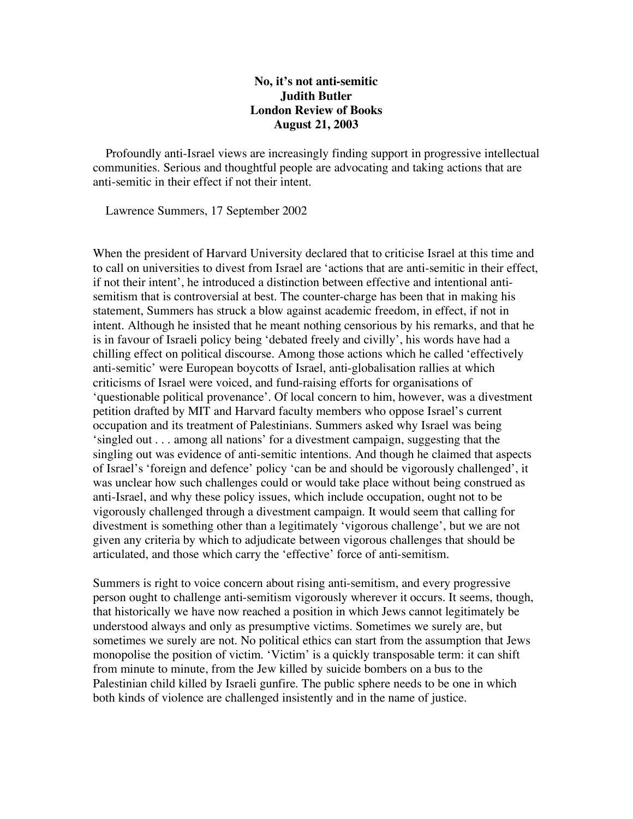## **No, it's not anti-semitic Judith Butler London Review of Books August 21, 2003**

 Profoundly anti-Israel views are increasingly finding support in progressive intellectual communities. Serious and thoughtful people are advocating and taking actions that are anti-semitic in their effect if not their intent.

Lawrence Summers, 17 September 2002

When the president of Harvard University declared that to criticise Israel at this time and to call on universities to divest from Israel are 'actions that are anti-semitic in their effect, if not their intent', he introduced a distinction between effective and intentional antisemitism that is controversial at best. The counter-charge has been that in making his statement, Summers has struck a blow against academic freedom, in effect, if not in intent. Although he insisted that he meant nothing censorious by his remarks, and that he is in favour of Israeli policy being 'debated freely and civilly', his words have had a chilling effect on political discourse. Among those actions which he called 'effectively anti-semitic' were European boycotts of Israel, anti-globalisation rallies at which criticisms of Israel were voiced, and fund-raising efforts for organisations of 'questionable political provenance'. Of local concern to him, however, was a divestment petition drafted by MIT and Harvard faculty members who oppose Israel's current occupation and its treatment of Palestinians. Summers asked why Israel was being 'singled out . . . among all nations' for a divestment campaign, suggesting that the singling out was evidence of anti-semitic intentions. And though he claimed that aspects of Israel's 'foreign and defence' policy 'can be and should be vigorously challenged', it was unclear how such challenges could or would take place without being construed as anti-Israel, and why these policy issues, which include occupation, ought not to be vigorously challenged through a divestment campaign. It would seem that calling for divestment is something other than a legitimately 'vigorous challenge', but we are not given any criteria by which to adjudicate between vigorous challenges that should be articulated, and those which carry the 'effective' force of anti-semitism.

Summers is right to voice concern about rising anti-semitism, and every progressive person ought to challenge anti-semitism vigorously wherever it occurs. It seems, though, that historically we have now reached a position in which Jews cannot legitimately be understood always and only as presumptive victims. Sometimes we surely are, but sometimes we surely are not. No political ethics can start from the assumption that Jews monopolise the position of victim. 'Victim' is a quickly transposable term: it can shift from minute to minute, from the Jew killed by suicide bombers on a bus to the Palestinian child killed by Israeli gunfire. The public sphere needs to be one in which both kinds of violence are challenged insistently and in the name of justice.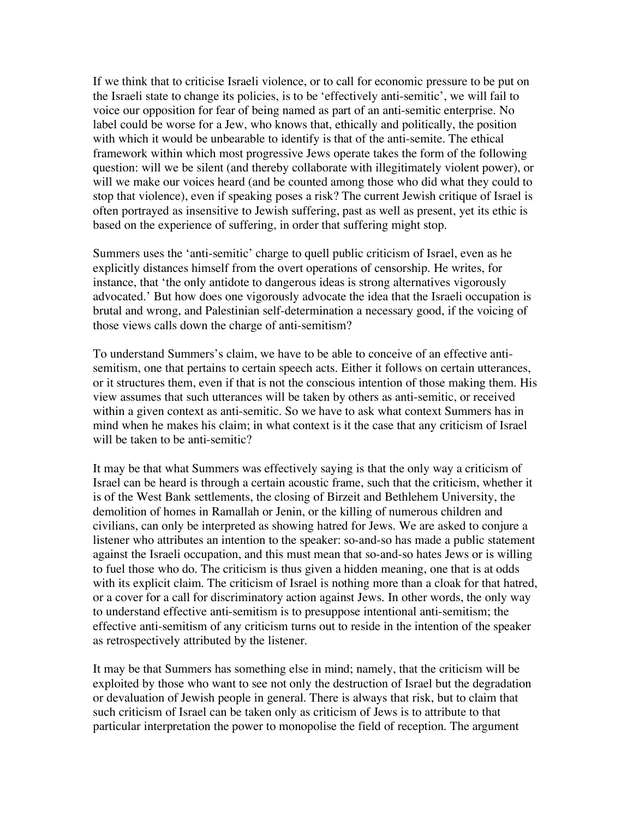If we think that to criticise Israeli violence, or to call for economic pressure to be put on the Israeli state to change its policies, is to be 'effectively anti-semitic', we will fail to voice our opposition for fear of being named as part of an anti-semitic enterprise. No label could be worse for a Jew, who knows that, ethically and politically, the position with which it would be unbearable to identify is that of the anti-semite. The ethical framework within which most progressive Jews operate takes the form of the following question: will we be silent (and thereby collaborate with illegitimately violent power), or will we make our voices heard (and be counted among those who did what they could to stop that violence), even if speaking poses a risk? The current Jewish critique of Israel is often portrayed as insensitive to Jewish suffering, past as well as present, yet its ethic is based on the experience of suffering, in order that suffering might stop.

Summers uses the 'anti-semitic' charge to quell public criticism of Israel, even as he explicitly distances himself from the overt operations of censorship. He writes, for instance, that 'the only antidote to dangerous ideas is strong alternatives vigorously advocated.' But how does one vigorously advocate the idea that the Israeli occupation is brutal and wrong, and Palestinian self-determination a necessary good, if the voicing of those views calls down the charge of anti-semitism?

To understand Summers's claim, we have to be able to conceive of an effective antisemitism, one that pertains to certain speech acts. Either it follows on certain utterances, or it structures them, even if that is not the conscious intention of those making them. His view assumes that such utterances will be taken by others as anti-semitic, or received within a given context as anti-semitic. So we have to ask what context Summers has in mind when he makes his claim; in what context is it the case that any criticism of Israel will be taken to be anti-semitic?

It may be that what Summers was effectively saying is that the only way a criticism of Israel can be heard is through a certain acoustic frame, such that the criticism, whether it is of the West Bank settlements, the closing of Birzeit and Bethlehem University, the demolition of homes in Ramallah or Jenin, or the killing of numerous children and civilians, can only be interpreted as showing hatred for Jews. We are asked to conjure a listener who attributes an intention to the speaker: so-and-so has made a public statement against the Israeli occupation, and this must mean that so-and-so hates Jews or is willing to fuel those who do. The criticism is thus given a hidden meaning, one that is at odds with its explicit claim. The criticism of Israel is nothing more than a cloak for that hatred, or a cover for a call for discriminatory action against Jews. In other words, the only way to understand effective anti-semitism is to presuppose intentional anti-semitism; the effective anti-semitism of any criticism turns out to reside in the intention of the speaker as retrospectively attributed by the listener.

It may be that Summers has something else in mind; namely, that the criticism will be exploited by those who want to see not only the destruction of Israel but the degradation or devaluation of Jewish people in general. There is always that risk, but to claim that such criticism of Israel can be taken only as criticism of Jews is to attribute to that particular interpretation the power to monopolise the field of reception. The argument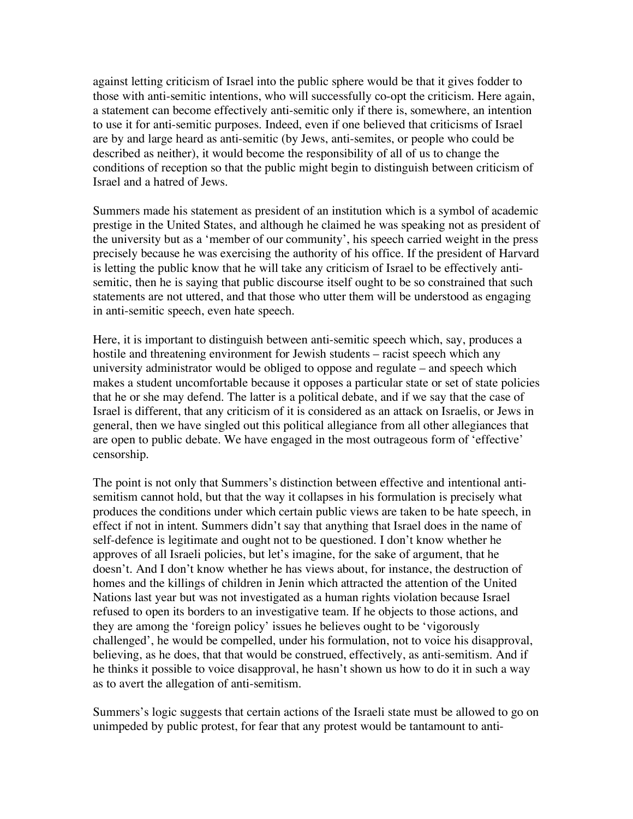against letting criticism of Israel into the public sphere would be that it gives fodder to those with anti-semitic intentions, who will successfully co-opt the criticism. Here again, a statement can become effectively anti-semitic only if there is, somewhere, an intention to use it for anti-semitic purposes. Indeed, even if one believed that criticisms of Israel are by and large heard as anti-semitic (by Jews, anti-semites, or people who could be described as neither), it would become the responsibility of all of us to change the conditions of reception so that the public might begin to distinguish between criticism of Israel and a hatred of Jews.

Summers made his statement as president of an institution which is a symbol of academic prestige in the United States, and although he claimed he was speaking not as president of the university but as a 'member of our community', his speech carried weight in the press precisely because he was exercising the authority of his office. If the president of Harvard is letting the public know that he will take any criticism of Israel to be effectively antisemitic, then he is saying that public discourse itself ought to be so constrained that such statements are not uttered, and that those who utter them will be understood as engaging in anti-semitic speech, even hate speech.

Here, it is important to distinguish between anti-semitic speech which, say, produces a hostile and threatening environment for Jewish students – racist speech which any university administrator would be obliged to oppose and regulate – and speech which makes a student uncomfortable because it opposes a particular state or set of state policies that he or she may defend. The latter is a political debate, and if we say that the case of Israel is different, that any criticism of it is considered as an attack on Israelis, or Jews in general, then we have singled out this political allegiance from all other allegiances that are open to public debate. We have engaged in the most outrageous form of 'effective' censorship.

The point is not only that Summers's distinction between effective and intentional antisemitism cannot hold, but that the way it collapses in his formulation is precisely what produces the conditions under which certain public views are taken to be hate speech, in effect if not in intent. Summers didn't say that anything that Israel does in the name of self-defence is legitimate and ought not to be questioned. I don't know whether he approves of all Israeli policies, but let's imagine, for the sake of argument, that he doesn't. And I don't know whether he has views about, for instance, the destruction of homes and the killings of children in Jenin which attracted the attention of the United Nations last year but was not investigated as a human rights violation because Israel refused to open its borders to an investigative team. If he objects to those actions, and they are among the 'foreign policy' issues he believes ought to be 'vigorously challenged', he would be compelled, under his formulation, not to voice his disapproval, believing, as he does, that that would be construed, effectively, as anti-semitism. And if he thinks it possible to voice disapproval, he hasn't shown us how to do it in such a way as to avert the allegation of anti-semitism.

Summers's logic suggests that certain actions of the Israeli state must be allowed to go on unimpeded by public protest, for fear that any protest would be tantamount to anti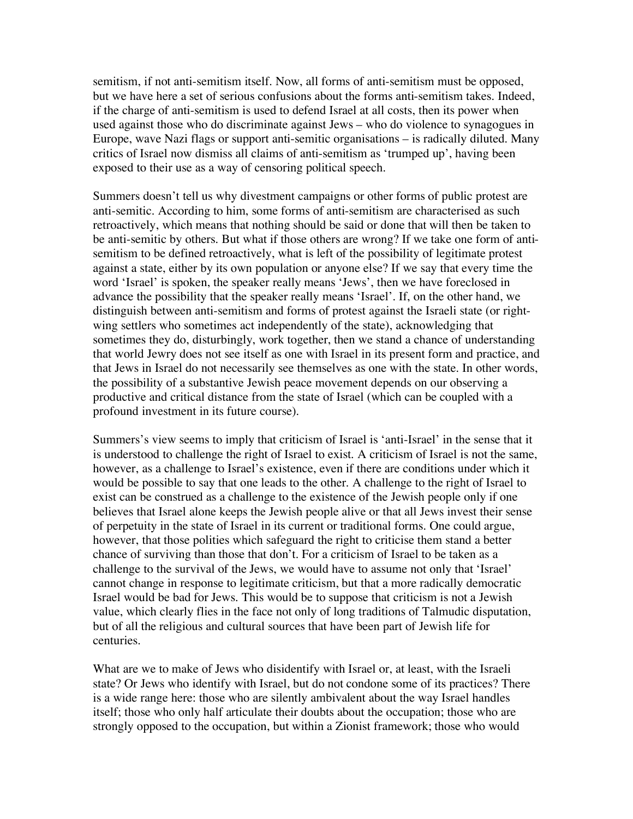semitism, if not anti-semitism itself. Now, all forms of anti-semitism must be opposed, but we have here a set of serious confusions about the forms anti-semitism takes. Indeed, if the charge of anti-semitism is used to defend Israel at all costs, then its power when used against those who do discriminate against Jews – who do violence to synagogues in Europe, wave Nazi flags or support anti-semitic organisations – is radically diluted. Many critics of Israel now dismiss all claims of anti-semitism as 'trumped up', having been exposed to their use as a way of censoring political speech.

Summers doesn't tell us why divestment campaigns or other forms of public protest are anti-semitic. According to him, some forms of anti-semitism are characterised as such retroactively, which means that nothing should be said or done that will then be taken to be anti-semitic by others. But what if those others are wrong? If we take one form of antisemitism to be defined retroactively, what is left of the possibility of legitimate protest against a state, either by its own population or anyone else? If we say that every time the word 'Israel' is spoken, the speaker really means 'Jews', then we have foreclosed in advance the possibility that the speaker really means 'Israel'. If, on the other hand, we distinguish between anti-semitism and forms of protest against the Israeli state (or rightwing settlers who sometimes act independently of the state), acknowledging that sometimes they do, disturbingly, work together, then we stand a chance of understanding that world Jewry does not see itself as one with Israel in its present form and practice, and that Jews in Israel do not necessarily see themselves as one with the state. In other words, the possibility of a substantive Jewish peace movement depends on our observing a productive and critical distance from the state of Israel (which can be coupled with a profound investment in its future course).

Summers's view seems to imply that criticism of Israel is 'anti-Israel' in the sense that it is understood to challenge the right of Israel to exist. A criticism of Israel is not the same, however, as a challenge to Israel's existence, even if there are conditions under which it would be possible to say that one leads to the other. A challenge to the right of Israel to exist can be construed as a challenge to the existence of the Jewish people only if one believes that Israel alone keeps the Jewish people alive or that all Jews invest their sense of perpetuity in the state of Israel in its current or traditional forms. One could argue, however, that those polities which safeguard the right to criticise them stand a better chance of surviving than those that don't. For a criticism of Israel to be taken as a challenge to the survival of the Jews, we would have to assume not only that 'Israel' cannot change in response to legitimate criticism, but that a more radically democratic Israel would be bad for Jews. This would be to suppose that criticism is not a Jewish value, which clearly flies in the face not only of long traditions of Talmudic disputation, but of all the religious and cultural sources that have been part of Jewish life for centuries.

What are we to make of Jews who disidentify with Israel or, at least, with the Israeli state? Or Jews who identify with Israel, but do not condone some of its practices? There is a wide range here: those who are silently ambivalent about the way Israel handles itself; those who only half articulate their doubts about the occupation; those who are strongly opposed to the occupation, but within a Zionist framework; those who would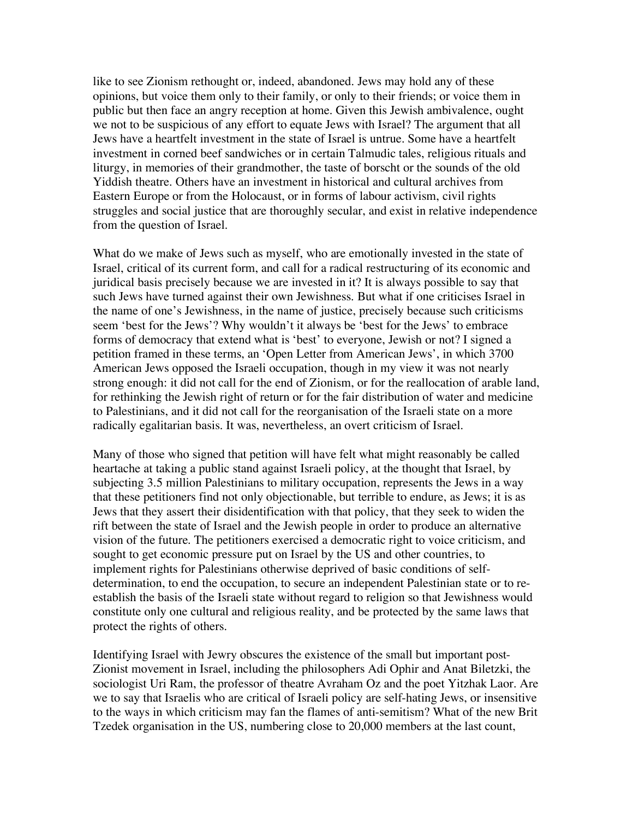like to see Zionism rethought or, indeed, abandoned. Jews may hold any of these opinions, but voice them only to their family, or only to their friends; or voice them in public but then face an angry reception at home. Given this Jewish ambivalence, ought we not to be suspicious of any effort to equate Jews with Israel? The argument that all Jews have a heartfelt investment in the state of Israel is untrue. Some have a heartfelt investment in corned beef sandwiches or in certain Talmudic tales, religious rituals and liturgy, in memories of their grandmother, the taste of borscht or the sounds of the old Yiddish theatre. Others have an investment in historical and cultural archives from Eastern Europe or from the Holocaust, or in forms of labour activism, civil rights struggles and social justice that are thoroughly secular, and exist in relative independence from the question of Israel.

What do we make of Jews such as myself, who are emotionally invested in the state of Israel, critical of its current form, and call for a radical restructuring of its economic and juridical basis precisely because we are invested in it? It is always possible to say that such Jews have turned against their own Jewishness. But what if one criticises Israel in the name of one's Jewishness, in the name of justice, precisely because such criticisms seem 'best for the Jews'? Why wouldn't it always be 'best for the Jews' to embrace forms of democracy that extend what is 'best' to everyone, Jewish or not? I signed a petition framed in these terms, an 'Open Letter from American Jews', in which 3700 American Jews opposed the Israeli occupation, though in my view it was not nearly strong enough: it did not call for the end of Zionism, or for the reallocation of arable land, for rethinking the Jewish right of return or for the fair distribution of water and medicine to Palestinians, and it did not call for the reorganisation of the Israeli state on a more radically egalitarian basis. It was, nevertheless, an overt criticism of Israel.

Many of those who signed that petition will have felt what might reasonably be called heartache at taking a public stand against Israeli policy, at the thought that Israel, by subjecting 3.5 million Palestinians to military occupation, represents the Jews in a way that these petitioners find not only objectionable, but terrible to endure, as Jews; it is as Jews that they assert their disidentification with that policy, that they seek to widen the rift between the state of Israel and the Jewish people in order to produce an alternative vision of the future. The petitioners exercised a democratic right to voice criticism, and sought to get economic pressure put on Israel by the US and other countries, to implement rights for Palestinians otherwise deprived of basic conditions of selfdetermination, to end the occupation, to secure an independent Palestinian state or to reestablish the basis of the Israeli state without regard to religion so that Jewishness would constitute only one cultural and religious reality, and be protected by the same laws that protect the rights of others.

Identifying Israel with Jewry obscures the existence of the small but important post-Zionist movement in Israel, including the philosophers Adi Ophir and Anat Biletzki, the sociologist Uri Ram, the professor of theatre Avraham Oz and the poet Yitzhak Laor. Are we to say that Israelis who are critical of Israeli policy are self-hating Jews, or insensitive to the ways in which criticism may fan the flames of anti-semitism? What of the new Brit Tzedek organisation in the US, numbering close to 20,000 members at the last count,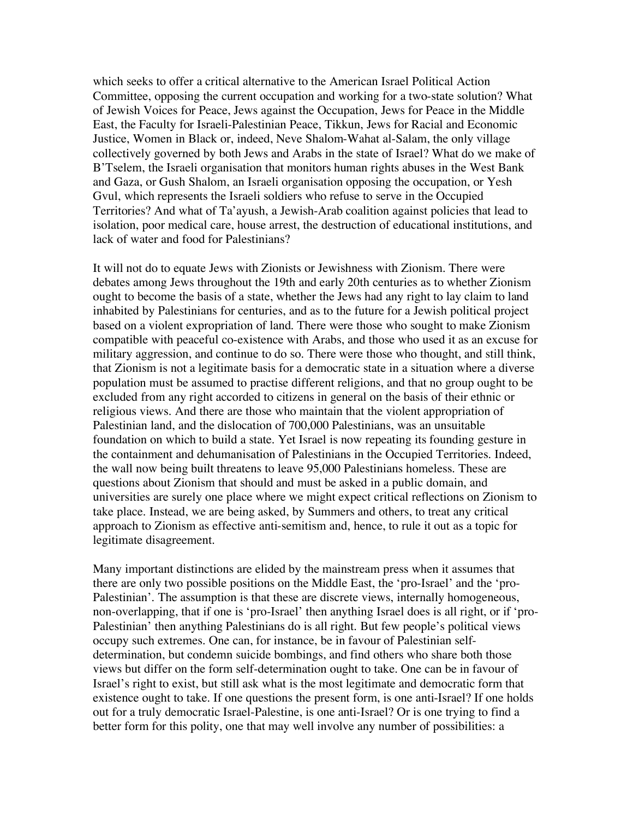which seeks to offer a critical alternative to the American Israel Political Action Committee, opposing the current occupation and working for a two-state solution? What of Jewish Voices for Peace, Jews against the Occupation, Jews for Peace in the Middle East, the Faculty for Israeli-Palestinian Peace, Tikkun, Jews for Racial and Economic Justice, Women in Black or, indeed, Neve Shalom-Wahat al-Salam, the only village collectively governed by both Jews and Arabs in the state of Israel? What do we make of B'Tselem, the Israeli organisation that monitors human rights abuses in the West Bank and Gaza, or Gush Shalom, an Israeli organisation opposing the occupation, or Yesh Gvul, which represents the Israeli soldiers who refuse to serve in the Occupied Territories? And what of Ta'ayush, a Jewish-Arab coalition against policies that lead to isolation, poor medical care, house arrest, the destruction of educational institutions, and lack of water and food for Palestinians?

It will not do to equate Jews with Zionists or Jewishness with Zionism. There were debates among Jews throughout the 19th and early 20th centuries as to whether Zionism ought to become the basis of a state, whether the Jews had any right to lay claim to land inhabited by Palestinians for centuries, and as to the future for a Jewish political project based on a violent expropriation of land. There were those who sought to make Zionism compatible with peaceful co-existence with Arabs, and those who used it as an excuse for military aggression, and continue to do so. There were those who thought, and still think, that Zionism is not a legitimate basis for a democratic state in a situation where a diverse population must be assumed to practise different religions, and that no group ought to be excluded from any right accorded to citizens in general on the basis of their ethnic or religious views. And there are those who maintain that the violent appropriation of Palestinian land, and the dislocation of 700,000 Palestinians, was an unsuitable foundation on which to build a state. Yet Israel is now repeating its founding gesture in the containment and dehumanisation of Palestinians in the Occupied Territories. Indeed, the wall now being built threatens to leave 95,000 Palestinians homeless. These are questions about Zionism that should and must be asked in a public domain, and universities are surely one place where we might expect critical reflections on Zionism to take place. Instead, we are being asked, by Summers and others, to treat any critical approach to Zionism as effective anti-semitism and, hence, to rule it out as a topic for legitimate disagreement.

Many important distinctions are elided by the mainstream press when it assumes that there are only two possible positions on the Middle East, the 'pro-Israel' and the 'pro-Palestinian'. The assumption is that these are discrete views, internally homogeneous, non-overlapping, that if one is 'pro-Israel' then anything Israel does is all right, or if 'pro-Palestinian' then anything Palestinians do is all right. But few people's political views occupy such extremes. One can, for instance, be in favour of Palestinian selfdetermination, but condemn suicide bombings, and find others who share both those views but differ on the form self-determination ought to take. One can be in favour of Israel's right to exist, but still ask what is the most legitimate and democratic form that existence ought to take. If one questions the present form, is one anti-Israel? If one holds out for a truly democratic Israel-Palestine, is one anti-Israel? Or is one trying to find a better form for this polity, one that may well involve any number of possibilities: a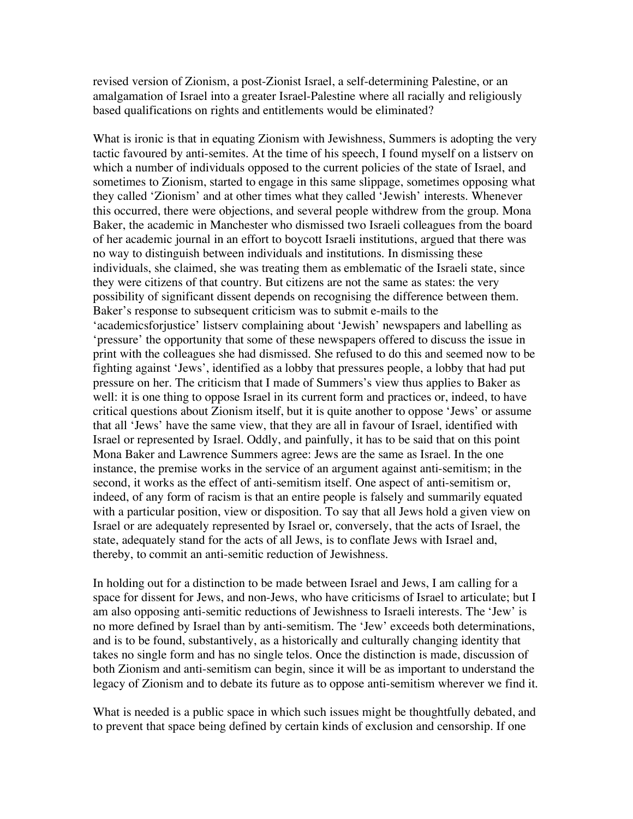revised version of Zionism, a post-Zionist Israel, a self-determining Palestine, or an amalgamation of Israel into a greater Israel-Palestine where all racially and religiously based qualifications on rights and entitlements would be eliminated?

What is ironic is that in equating Zionism with Jewishness, Summers is adopting the very tactic favoured by anti-semites. At the time of his speech, I found myself on a listserv on which a number of individuals opposed to the current policies of the state of Israel, and sometimes to Zionism, started to engage in this same slippage, sometimes opposing what they called 'Zionism' and at other times what they called 'Jewish' interests. Whenever this occurred, there were objections, and several people withdrew from the group. Mona Baker, the academic in Manchester who dismissed two Israeli colleagues from the board of her academic journal in an effort to boycott Israeli institutions, argued that there was no way to distinguish between individuals and institutions. In dismissing these individuals, she claimed, she was treating them as emblematic of the Israeli state, since they were citizens of that country. But citizens are not the same as states: the very possibility of significant dissent depends on recognising the difference between them. Baker's response to subsequent criticism was to submit e-mails to the 'academicsforjustice' listserv complaining about 'Jewish' newspapers and labelling as 'pressure' the opportunity that some of these newspapers offered to discuss the issue in print with the colleagues she had dismissed. She refused to do this and seemed now to be fighting against 'Jews', identified as a lobby that pressures people, a lobby that had put pressure on her. The criticism that I made of Summers's view thus applies to Baker as well: it is one thing to oppose Israel in its current form and practices or, indeed, to have critical questions about Zionism itself, but it is quite another to oppose 'Jews' or assume that all 'Jews' have the same view, that they are all in favour of Israel, identified with Israel or represented by Israel. Oddly, and painfully, it has to be said that on this point Mona Baker and Lawrence Summers agree: Jews are the same as Israel. In the one instance, the premise works in the service of an argument against anti-semitism; in the second, it works as the effect of anti-semitism itself. One aspect of anti-semitism or, indeed, of any form of racism is that an entire people is falsely and summarily equated with a particular position, view or disposition. To say that all Jews hold a given view on Israel or are adequately represented by Israel or, conversely, that the acts of Israel, the state, adequately stand for the acts of all Jews, is to conflate Jews with Israel and, thereby, to commit an anti-semitic reduction of Jewishness.

In holding out for a distinction to be made between Israel and Jews, I am calling for a space for dissent for Jews, and non-Jews, who have criticisms of Israel to articulate; but I am also opposing anti-semitic reductions of Jewishness to Israeli interests. The 'Jew' is no more defined by Israel than by anti-semitism. The 'Jew' exceeds both determinations, and is to be found, substantively, as a historically and culturally changing identity that takes no single form and has no single telos. Once the distinction is made, discussion of both Zionism and anti-semitism can begin, since it will be as important to understand the legacy of Zionism and to debate its future as to oppose anti-semitism wherever we find it.

What is needed is a public space in which such issues might be thoughtfully debated, and to prevent that space being defined by certain kinds of exclusion and censorship. If one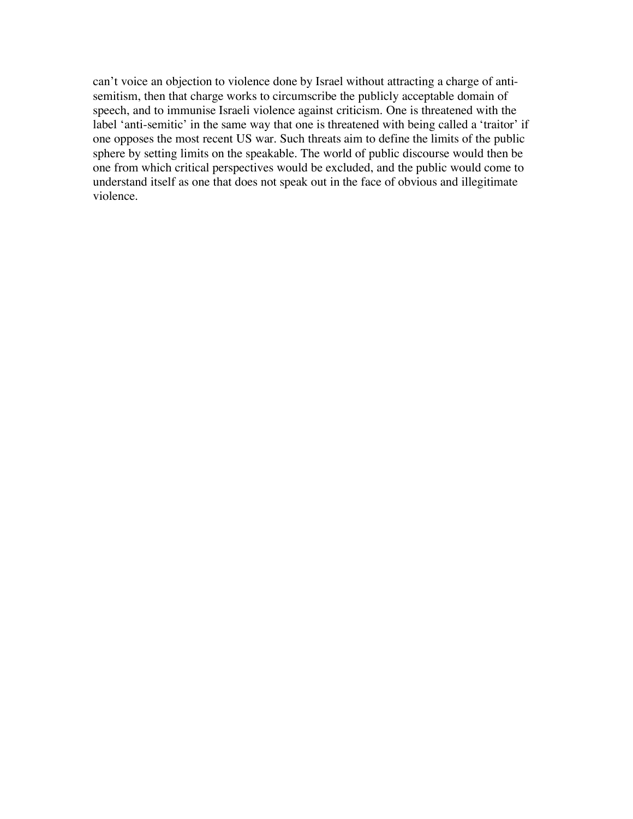can't voice an objection to violence done by Israel without attracting a charge of antisemitism, then that charge works to circumscribe the publicly acceptable domain of speech, and to immunise Israeli violence against criticism. One is threatened with the label 'anti-semitic' in the same way that one is threatened with being called a 'traitor' if one opposes the most recent US war. Such threats aim to define the limits of the public sphere by setting limits on the speakable. The world of public discourse would then be one from which critical perspectives would be excluded, and the public would come to understand itself as one that does not speak out in the face of obvious and illegitimate violence.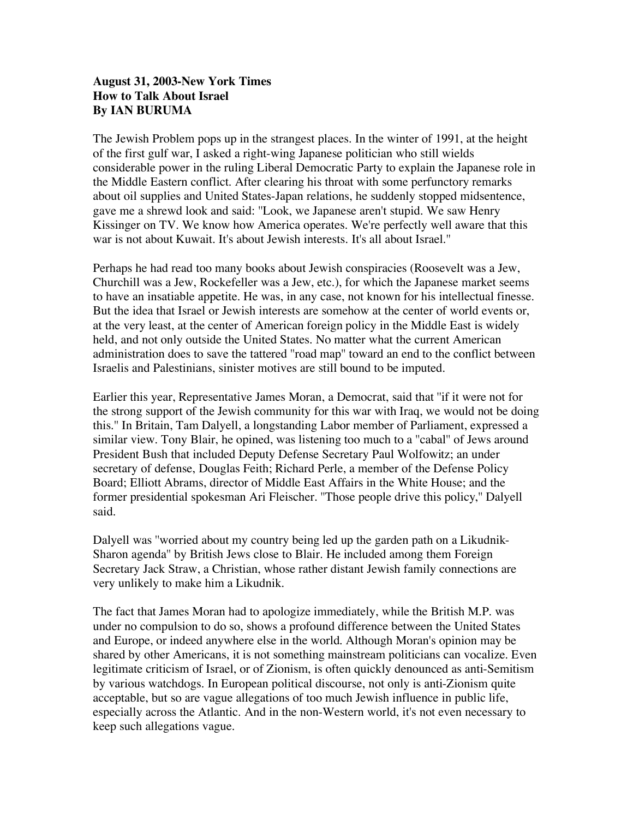## **August 31, 2003-New York Times How to Talk About Israel By IAN BURUMA**

The Jewish Problem pops up in the strangest places. In the winter of 1991, at the height of the first gulf war, I asked a right-wing Japanese politician who still wields considerable power in the ruling Liberal Democratic Party to explain the Japanese role in the Middle Eastern conflict. After clearing his throat with some perfunctory remarks about oil supplies and United States-Japan relations, he suddenly stopped midsentence, gave me a shrewd look and said: ''Look, we Japanese aren't stupid. We saw Henry Kissinger on TV. We know how America operates. We're perfectly well aware that this war is not about Kuwait. It's about Jewish interests. It's all about Israel.''

Perhaps he had read too many books about Jewish conspiracies (Roosevelt was a Jew, Churchill was a Jew, Rockefeller was a Jew, etc.), for which the Japanese market seems to have an insatiable appetite. He was, in any case, not known for his intellectual finesse. But the idea that Israel or Jewish interests are somehow at the center of world events or, at the very least, at the center of American foreign policy in the Middle East is widely held, and not only outside the United States. No matter what the current American administration does to save the tattered ''road map'' toward an end to the conflict between Israelis and Palestinians, sinister motives are still bound to be imputed.

Earlier this year, Representative James Moran, a Democrat, said that ''if it were not for the strong support of the Jewish community for this war with Iraq, we would not be doing this.'' In Britain, Tam Dalyell, a longstanding Labor member of Parliament, expressed a similar view. Tony Blair, he opined, was listening too much to a "cabal" of Jews around President Bush that included Deputy Defense Secretary Paul Wolfowitz; an under secretary of defense, Douglas Feith; Richard Perle, a member of the Defense Policy Board; Elliott Abrams, director of Middle East Affairs in the White House; and the former presidential spokesman Ari Fleischer. ''Those people drive this policy,'' Dalyell said.

Dalyell was ''worried about my country being led up the garden path on a Likudnik-Sharon agenda'' by British Jews close to Blair. He included among them Foreign Secretary Jack Straw, a Christian, whose rather distant Jewish family connections are very unlikely to make him a Likudnik.

The fact that James Moran had to apologize immediately, while the British M.P. was under no compulsion to do so, shows a profound difference between the United States and Europe, or indeed anywhere else in the world. Although Moran's opinion may be shared by other Americans, it is not something mainstream politicians can vocalize. Even legitimate criticism of Israel, or of Zionism, is often quickly denounced as anti-Semitism by various watchdogs. In European political discourse, not only is anti-Zionism quite acceptable, but so are vague allegations of too much Jewish influence in public life, especially across the Atlantic. And in the non-Western world, it's not even necessary to keep such allegations vague.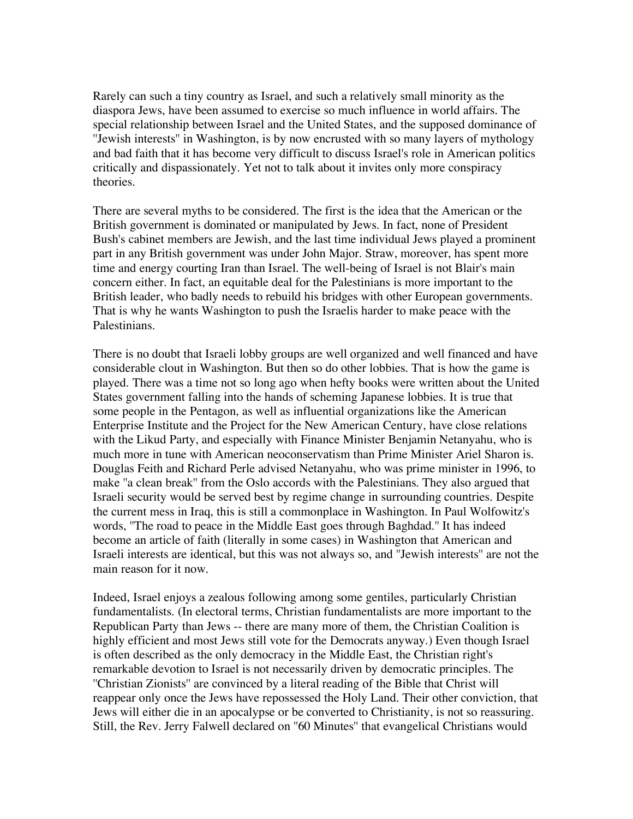Rarely can such a tiny country as Israel, and such a relatively small minority as the diaspora Jews, have been assumed to exercise so much influence in world affairs. The special relationship between Israel and the United States, and the supposed dominance of ''Jewish interests'' in Washington, is by now encrusted with so many layers of mythology and bad faith that it has become very difficult to discuss Israel's role in American politics critically and dispassionately. Yet not to talk about it invites only more conspiracy theories.

There are several myths to be considered. The first is the idea that the American or the British government is dominated or manipulated by Jews. In fact, none of President Bush's cabinet members are Jewish, and the last time individual Jews played a prominent part in any British government was under John Major. Straw, moreover, has spent more time and energy courting Iran than Israel. The well-being of Israel is not Blair's main concern either. In fact, an equitable deal for the Palestinians is more important to the British leader, who badly needs to rebuild his bridges with other European governments. That is why he wants Washington to push the Israelis harder to make peace with the Palestinians.

There is no doubt that Israeli lobby groups are well organized and well financed and have considerable clout in Washington. But then so do other lobbies. That is how the game is played. There was a time not so long ago when hefty books were written about the United States government falling into the hands of scheming Japanese lobbies. It is true that some people in the Pentagon, as well as influential organizations like the American Enterprise Institute and the Project for the New American Century, have close relations with the Likud Party, and especially with Finance Minister Benjamin Netanyahu, who is much more in tune with American neoconservatism than Prime Minister Ariel Sharon is. Douglas Feith and Richard Perle advised Netanyahu, who was prime minister in 1996, to make ''a clean break'' from the Oslo accords with the Palestinians. They also argued that Israeli security would be served best by regime change in surrounding countries. Despite the current mess in Iraq, this is still a commonplace in Washington. In Paul Wolfowitz's words, ''The road to peace in the Middle East goes through Baghdad.'' It has indeed become an article of faith (literally in some cases) in Washington that American and Israeli interests are identical, but this was not always so, and ''Jewish interests'' are not the main reason for it now.

Indeed, Israel enjoys a zealous following among some gentiles, particularly Christian fundamentalists. (In electoral terms, Christian fundamentalists are more important to the Republican Party than Jews -- there are many more of them, the Christian Coalition is highly efficient and most Jews still vote for the Democrats anyway.) Even though Israel is often described as the only democracy in the Middle East, the Christian right's remarkable devotion to Israel is not necessarily driven by democratic principles. The ''Christian Zionists'' are convinced by a literal reading of the Bible that Christ will reappear only once the Jews have repossessed the Holy Land. Their other conviction, that Jews will either die in an apocalypse or be converted to Christianity, is not so reassuring. Still, the Rev. Jerry Falwell declared on ''60 Minutes'' that evangelical Christians would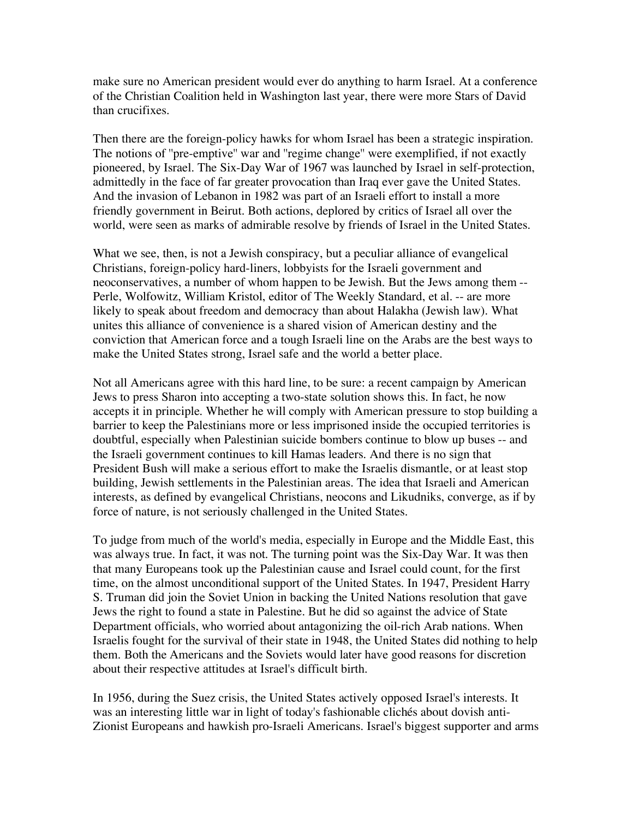make sure no American president would ever do anything to harm Israel. At a conference of the Christian Coalition held in Washington last year, there were more Stars of David than crucifixes.

Then there are the foreign-policy hawks for whom Israel has been a strategic inspiration. The notions of ''pre-emptive'' war and ''regime change'' were exemplified, if not exactly pioneered, by Israel. The Six-Day War of 1967 was launched by Israel in self-protection, admittedly in the face of far greater provocation than Iraq ever gave the United States. And the invasion of Lebanon in 1982 was part of an Israeli effort to install a more friendly government in Beirut. Both actions, deplored by critics of Israel all over the world, were seen as marks of admirable resolve by friends of Israel in the United States.

What we see, then, is not a Jewish conspiracy, but a peculiar alliance of evangelical Christians, foreign-policy hard-liners, lobbyists for the Israeli government and neoconservatives, a number of whom happen to be Jewish. But the Jews among them -- Perle, Wolfowitz, William Kristol, editor of The Weekly Standard, et al. -- are more likely to speak about freedom and democracy than about Halakha (Jewish law). What unites this alliance of convenience is a shared vision of American destiny and the conviction that American force and a tough Israeli line on the Arabs are the best ways to make the United States strong, Israel safe and the world a better place.

Not all Americans agree with this hard line, to be sure: a recent campaign by American Jews to press Sharon into accepting a two-state solution shows this. In fact, he now accepts it in principle. Whether he will comply with American pressure to stop building a barrier to keep the Palestinians more or less imprisoned inside the occupied territories is doubtful, especially when Palestinian suicide bombers continue to blow up buses -- and the Israeli government continues to kill Hamas leaders. And there is no sign that President Bush will make a serious effort to make the Israelis dismantle, or at least stop building, Jewish settlements in the Palestinian areas. The idea that Israeli and American interests, as defined by evangelical Christians, neocons and Likudniks, converge, as if by force of nature, is not seriously challenged in the United States.

To judge from much of the world's media, especially in Europe and the Middle East, this was always true. In fact, it was not. The turning point was the Six-Day War. It was then that many Europeans took up the Palestinian cause and Israel could count, for the first time, on the almost unconditional support of the United States. In 1947, President Harry S. Truman did join the Soviet Union in backing the United Nations resolution that gave Jews the right to found a state in Palestine. But he did so against the advice of State Department officials, who worried about antagonizing the oil-rich Arab nations. When Israelis fought for the survival of their state in 1948, the United States did nothing to help them. Both the Americans and the Soviets would later have good reasons for discretion about their respective attitudes at Israel's difficult birth.

In 1956, during the Suez crisis, the United States actively opposed Israel's interests. It was an interesting little war in light of today's fashionable clichés about dovish anti-Zionist Europeans and hawkish pro-Israeli Americans. Israel's biggest supporter and arms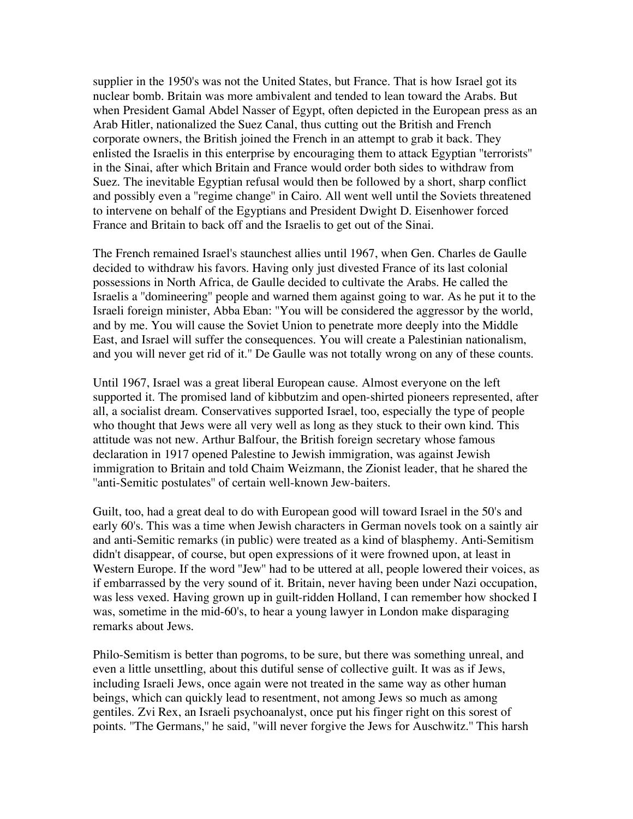supplier in the 1950's was not the United States, but France. That is how Israel got its nuclear bomb. Britain was more ambivalent and tended to lean toward the Arabs. But when President Gamal Abdel Nasser of Egypt, often depicted in the European press as an Arab Hitler, nationalized the Suez Canal, thus cutting out the British and French corporate owners, the British joined the French in an attempt to grab it back. They enlisted the Israelis in this enterprise by encouraging them to attack Egyptian ''terrorists'' in the Sinai, after which Britain and France would order both sides to withdraw from Suez. The inevitable Egyptian refusal would then be followed by a short, sharp conflict and possibly even a ''regime change'' in Cairo. All went well until the Soviets threatened to intervene on behalf of the Egyptians and President Dwight D. Eisenhower forced France and Britain to back off and the Israelis to get out of the Sinai.

The French remained Israel's staunchest allies until 1967, when Gen. Charles de Gaulle decided to withdraw his favors. Having only just divested France of its last colonial possessions in North Africa, de Gaulle decided to cultivate the Arabs. He called the Israelis a ''domineering'' people and warned them against going to war. As he put it to the Israeli foreign minister, Abba Eban: ''You will be considered the aggressor by the world, and by me. You will cause the Soviet Union to penetrate more deeply into the Middle East, and Israel will suffer the consequences. You will create a Palestinian nationalism, and you will never get rid of it.'' De Gaulle was not totally wrong on any of these counts.

Until 1967, Israel was a great liberal European cause. Almost everyone on the left supported it. The promised land of kibbutzim and open-shirted pioneers represented, after all, a socialist dream. Conservatives supported Israel, too, especially the type of people who thought that Jews were all very well as long as they stuck to their own kind. This attitude was not new. Arthur Balfour, the British foreign secretary whose famous declaration in 1917 opened Palestine to Jewish immigration, was against Jewish immigration to Britain and told Chaim Weizmann, the Zionist leader, that he shared the ''anti-Semitic postulates'' of certain well-known Jew-baiters.

Guilt, too, had a great deal to do with European good will toward Israel in the 50's and early 60's. This was a time when Jewish characters in German novels took on a saintly air and anti-Semitic remarks (in public) were treated as a kind of blasphemy. Anti-Semitism didn't disappear, of course, but open expressions of it were frowned upon, at least in Western Europe. If the word ''Jew'' had to be uttered at all, people lowered their voices, as if embarrassed by the very sound of it. Britain, never having been under Nazi occupation, was less vexed. Having grown up in guilt-ridden Holland, I can remember how shocked I was, sometime in the mid-60's, to hear a young lawyer in London make disparaging remarks about Jews.

Philo-Semitism is better than pogroms, to be sure, but there was something unreal, and even a little unsettling, about this dutiful sense of collective guilt. It was as if Jews, including Israeli Jews, once again were not treated in the same way as other human beings, which can quickly lead to resentment, not among Jews so much as among gentiles. Zvi Rex, an Israeli psychoanalyst, once put his finger right on this sorest of points. "The Germans," he said, "will never forgive the Jews for Auschwitz." This harsh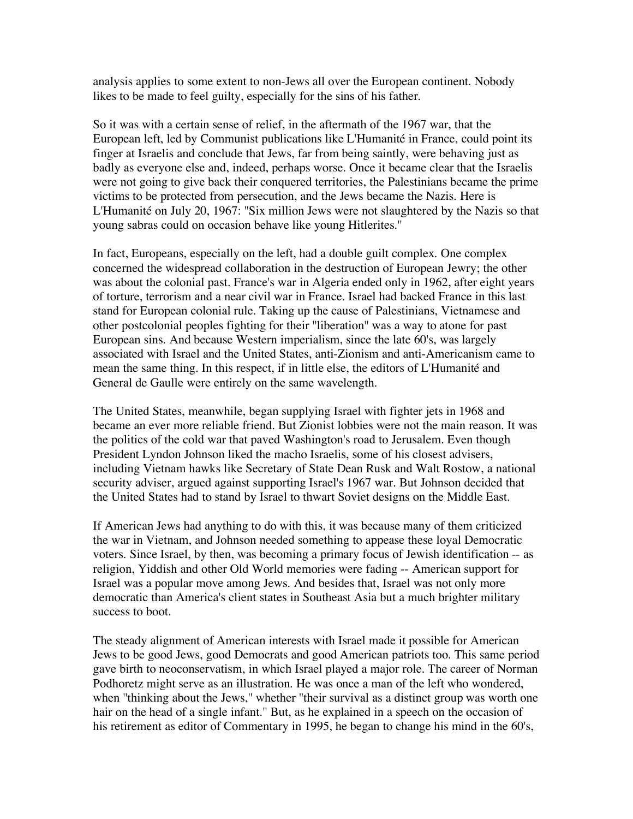analysis applies to some extent to non-Jews all over the European continent. Nobody likes to be made to feel guilty, especially for the sins of his father.

So it was with a certain sense of relief, in the aftermath of the 1967 war, that the European left, led by Communist publications like L'Humanité in France, could point its finger at Israelis and conclude that Jews, far from being saintly, were behaving just as badly as everyone else and, indeed, perhaps worse. Once it became clear that the Israelis were not going to give back their conquered territories, the Palestinians became the prime victims to be protected from persecution, and the Jews became the Nazis. Here is L'Humanité on July 20, 1967: ''Six million Jews were not slaughtered by the Nazis so that young sabras could on occasion behave like young Hitlerites.''

In fact, Europeans, especially on the left, had a double guilt complex. One complex concerned the widespread collaboration in the destruction of European Jewry; the other was about the colonial past. France's war in Algeria ended only in 1962, after eight years of torture, terrorism and a near civil war in France. Israel had backed France in this last stand for European colonial rule. Taking up the cause of Palestinians, Vietnamese and other postcolonial peoples fighting for their ''liberation'' was a way to atone for past European sins. And because Western imperialism, since the late 60's, was largely associated with Israel and the United States, anti-Zionism and anti-Americanism came to mean the same thing. In this respect, if in little else, the editors of L'Humanité and General de Gaulle were entirely on the same wavelength.

The United States, meanwhile, began supplying Israel with fighter jets in 1968 and became an ever more reliable friend. But Zionist lobbies were not the main reason. It was the politics of the cold war that paved Washington's road to Jerusalem. Even though President Lyndon Johnson liked the macho Israelis, some of his closest advisers, including Vietnam hawks like Secretary of State Dean Rusk and Walt Rostow, a national security adviser, argued against supporting Israel's 1967 war. But Johnson decided that the United States had to stand by Israel to thwart Soviet designs on the Middle East.

If American Jews had anything to do with this, it was because many of them criticized the war in Vietnam, and Johnson needed something to appease these loyal Democratic voters. Since Israel, by then, was becoming a primary focus of Jewish identification -- as religion, Yiddish and other Old World memories were fading -- American support for Israel was a popular move among Jews. And besides that, Israel was not only more democratic than America's client states in Southeast Asia but a much brighter military success to boot.

The steady alignment of American interests with Israel made it possible for American Jews to be good Jews, good Democrats and good American patriots too. This same period gave birth to neoconservatism, in which Israel played a major role. The career of Norman Podhoretz might serve as an illustration. He was once a man of the left who wondered, when "thinking about the Jews," whether "their survival as a distinct group was worth one hair on the head of a single infant.'' But, as he explained in a speech on the occasion of his retirement as editor of Commentary in 1995, he began to change his mind in the 60's,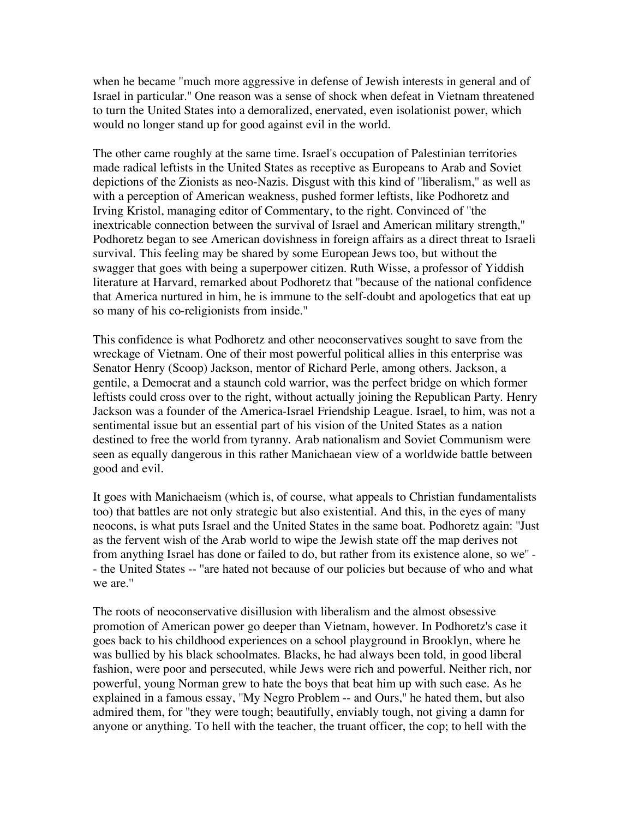when he became ''much more aggressive in defense of Jewish interests in general and of Israel in particular.'' One reason was a sense of shock when defeat in Vietnam threatened to turn the United States into a demoralized, enervated, even isolationist power, which would no longer stand up for good against evil in the world.

The other came roughly at the same time. Israel's occupation of Palestinian territories made radical leftists in the United States as receptive as Europeans to Arab and Soviet depictions of the Zionists as neo-Nazis. Disgust with this kind of ''liberalism,'' as well as with a perception of American weakness, pushed former leftists, like Podhoretz and Irving Kristol, managing editor of Commentary, to the right. Convinced of ''the inextricable connection between the survival of Israel and American military strength,'' Podhoretz began to see American dovishness in foreign affairs as a direct threat to Israeli survival. This feeling may be shared by some European Jews too, but without the swagger that goes with being a superpower citizen. Ruth Wisse, a professor of Yiddish literature at Harvard, remarked about Podhoretz that ''because of the national confidence that America nurtured in him, he is immune to the self-doubt and apologetics that eat up so many of his co-religionists from inside.''

This confidence is what Podhoretz and other neoconservatives sought to save from the wreckage of Vietnam. One of their most powerful political allies in this enterprise was Senator Henry (Scoop) Jackson, mentor of Richard Perle, among others. Jackson, a gentile, a Democrat and a staunch cold warrior, was the perfect bridge on which former leftists could cross over to the right, without actually joining the Republican Party. Henry Jackson was a founder of the America-Israel Friendship League. Israel, to him, was not a sentimental issue but an essential part of his vision of the United States as a nation destined to free the world from tyranny. Arab nationalism and Soviet Communism were seen as equally dangerous in this rather Manichaean view of a worldwide battle between good and evil.

It goes with Manichaeism (which is, of course, what appeals to Christian fundamentalists too) that battles are not only strategic but also existential. And this, in the eyes of many neocons, is what puts Israel and the United States in the same boat. Podhoretz again: ''Just as the fervent wish of the Arab world to wipe the Jewish state off the map derives not from anything Israel has done or failed to do, but rather from its existence alone, so we'' - - the United States -- ''are hated not because of our policies but because of who and what we are.''

The roots of neoconservative disillusion with liberalism and the almost obsessive promotion of American power go deeper than Vietnam, however. In Podhoretz's case it goes back to his childhood experiences on a school playground in Brooklyn, where he was bullied by his black schoolmates. Blacks, he had always been told, in good liberal fashion, were poor and persecuted, while Jews were rich and powerful. Neither rich, nor powerful, young Norman grew to hate the boys that beat him up with such ease. As he explained in a famous essay, ''My Negro Problem -- and Ours,'' he hated them, but also admired them, for ''they were tough; beautifully, enviably tough, not giving a damn for anyone or anything. To hell with the teacher, the truant officer, the cop; to hell with the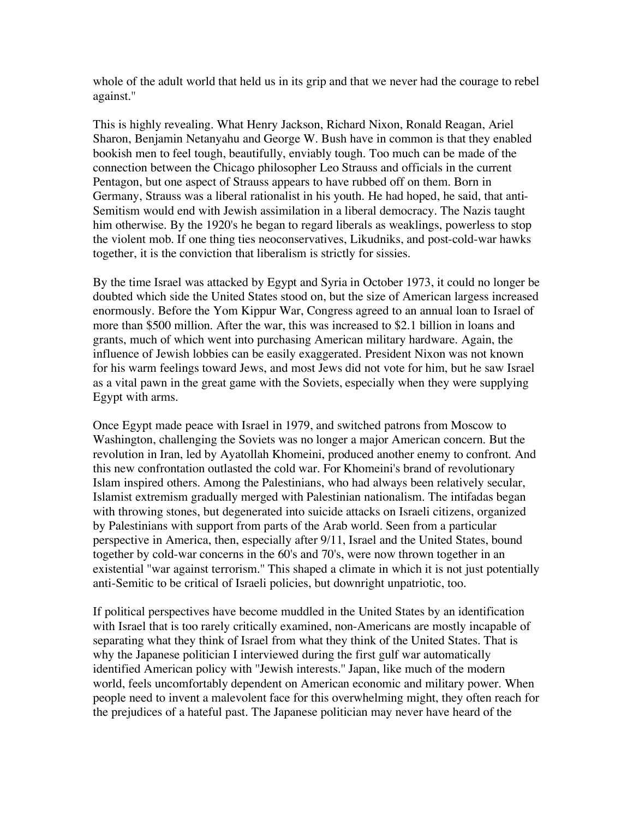whole of the adult world that held us in its grip and that we never had the courage to rebel against.''

This is highly revealing. What Henry Jackson, Richard Nixon, Ronald Reagan, Ariel Sharon, Benjamin Netanyahu and George W. Bush have in common is that they enabled bookish men to feel tough, beautifully, enviably tough. Too much can be made of the connection between the Chicago philosopher Leo Strauss and officials in the current Pentagon, but one aspect of Strauss appears to have rubbed off on them. Born in Germany, Strauss was a liberal rationalist in his youth. He had hoped, he said, that anti-Semitism would end with Jewish assimilation in a liberal democracy. The Nazis taught him otherwise. By the 1920's he began to regard liberals as weaklings, powerless to stop the violent mob. If one thing ties neoconservatives, Likudniks, and post-cold-war hawks together, it is the conviction that liberalism is strictly for sissies.

By the time Israel was attacked by Egypt and Syria in October 1973, it could no longer be doubted which side the United States stood on, but the size of American largess increased enormously. Before the Yom Kippur War, Congress agreed to an annual loan to Israel of more than \$500 million. After the war, this was increased to \$2.1 billion in loans and grants, much of which went into purchasing American military hardware. Again, the influence of Jewish lobbies can be easily exaggerated. President Nixon was not known for his warm feelings toward Jews, and most Jews did not vote for him, but he saw Israel as a vital pawn in the great game with the Soviets, especially when they were supplying Egypt with arms.

Once Egypt made peace with Israel in 1979, and switched patrons from Moscow to Washington, challenging the Soviets was no longer a major American concern. But the revolution in Iran, led by Ayatollah Khomeini, produced another enemy to confront. And this new confrontation outlasted the cold war. For Khomeini's brand of revolutionary Islam inspired others. Among the Palestinians, who had always been relatively secular, Islamist extremism gradually merged with Palestinian nationalism. The intifadas began with throwing stones, but degenerated into suicide attacks on Israeli citizens, organized by Palestinians with support from parts of the Arab world. Seen from a particular perspective in America, then, especially after 9/11, Israel and the United States, bound together by cold-war concerns in the 60's and 70's, were now thrown together in an existential ''war against terrorism.'' This shaped a climate in which it is not just potentially anti-Semitic to be critical of Israeli policies, but downright unpatriotic, too.

If political perspectives have become muddled in the United States by an identification with Israel that is too rarely critically examined, non-Americans are mostly incapable of separating what they think of Israel from what they think of the United States. That is why the Japanese politician I interviewed during the first gulf war automatically identified American policy with ''Jewish interests.'' Japan, like much of the modern world, feels uncomfortably dependent on American economic and military power. When people need to invent a malevolent face for this overwhelming might, they often reach for the prejudices of a hateful past. The Japanese politician may never have heard of the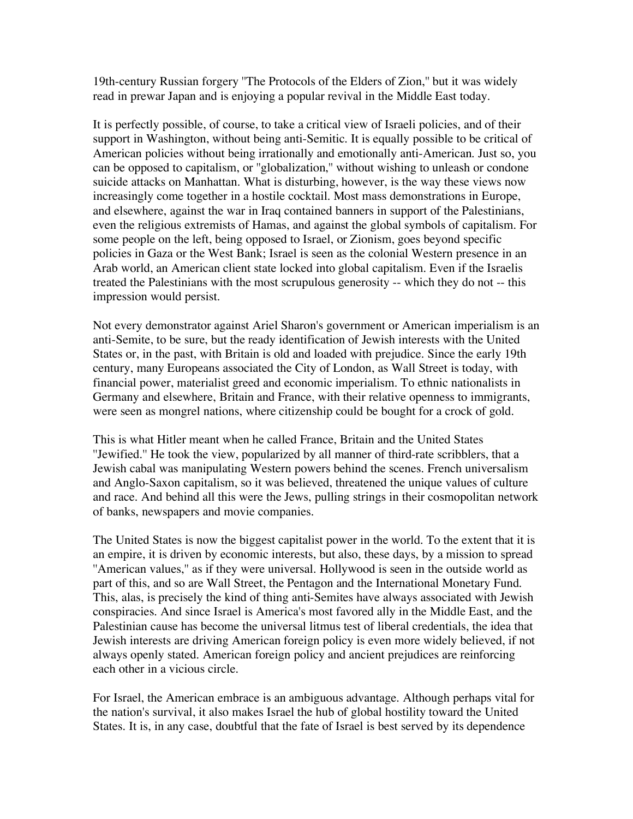19th-century Russian forgery ''The Protocols of the Elders of Zion,'' but it was widely read in prewar Japan and is enjoying a popular revival in the Middle East today.

It is perfectly possible, of course, to take a critical view of Israeli policies, and of their support in Washington, without being anti-Semitic. It is equally possible to be critical of American policies without being irrationally and emotionally anti-American. Just so, you can be opposed to capitalism, or ''globalization,'' without wishing to unleash or condone suicide attacks on Manhattan. What is disturbing, however, is the way these views now increasingly come together in a hostile cocktail. Most mass demonstrations in Europe, and elsewhere, against the war in Iraq contained banners in support of the Palestinians, even the religious extremists of Hamas, and against the global symbols of capitalism. For some people on the left, being opposed to Israel, or Zionism, goes beyond specific policies in Gaza or the West Bank; Israel is seen as the colonial Western presence in an Arab world, an American client state locked into global capitalism. Even if the Israelis treated the Palestinians with the most scrupulous generosity -- which they do not -- this impression would persist.

Not every demonstrator against Ariel Sharon's government or American imperialism is an anti-Semite, to be sure, but the ready identification of Jewish interests with the United States or, in the past, with Britain is old and loaded with prejudice. Since the early 19th century, many Europeans associated the City of London, as Wall Street is today, with financial power, materialist greed and economic imperialism. To ethnic nationalists in Germany and elsewhere, Britain and France, with their relative openness to immigrants, were seen as mongrel nations, where citizenship could be bought for a crock of gold.

This is what Hitler meant when he called France, Britain and the United States ''Jewified.'' He took the view, popularized by all manner of third-rate scribblers, that a Jewish cabal was manipulating Western powers behind the scenes. French universalism and Anglo-Saxon capitalism, so it was believed, threatened the unique values of culture and race. And behind all this were the Jews, pulling strings in their cosmopolitan network of banks, newspapers and movie companies.

The United States is now the biggest capitalist power in the world. To the extent that it is an empire, it is driven by economic interests, but also, these days, by a mission to spread "American values," as if they were universal. Hollywood is seen in the outside world as part of this, and so are Wall Street, the Pentagon and the International Monetary Fund. This, alas, is precisely the kind of thing anti-Semites have always associated with Jewish conspiracies. And since Israel is America's most favored ally in the Middle East, and the Palestinian cause has become the universal litmus test of liberal credentials, the idea that Jewish interests are driving American foreign policy is even more widely believed, if not always openly stated. American foreign policy and ancient prejudices are reinforcing each other in a vicious circle.

For Israel, the American embrace is an ambiguous advantage. Although perhaps vital for the nation's survival, it also makes Israel the hub of global hostility toward the United States. It is, in any case, doubtful that the fate of Israel is best served by its dependence